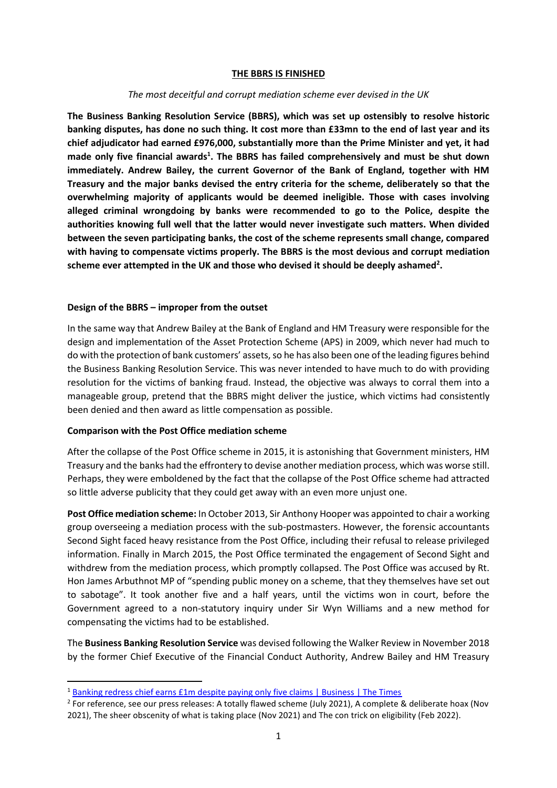### **THE BBRS IS FINISHED**

### *The most deceitful and corrupt mediation scheme ever devised in the UK*

**The Business Banking Resolution Service (BBRS), which was set up ostensibly to resolve historic banking disputes, has done no such thing. It cost more than £33mn to the end of last year and its chief adjudicator had earned £976,000, substantially more than the Prime Minister and yet, it had made only five financial awards<sup>1</sup> . The BBRS has failed comprehensively and must be shut down immediately. Andrew Bailey, the current Governor of the Bank of England, together with HM Treasury and the major banks devised the entry criteria for the scheme, deliberately so that the overwhelming majority of applicants would be deemed ineligible. Those with cases involving alleged criminal wrongdoing by banks were recommended to go to the Police, despite the authorities knowing full well that the latter would never investigate such matters. When divided between the seven participating banks, the cost of the scheme represents small change, compared with having to compensate victims properly. The BBRS is the most devious and corrupt mediation scheme ever attempted in the UK and those who devised it should be deeply ashamed<sup>2</sup> .**

### **Design of the BBRS – improper from the outset**

In the same way that Andrew Bailey at the Bank of England and HM Treasury were responsible for the design and implementation of the Asset Protection Scheme (APS) in 2009, which never had much to do with the protection of bank customers' assets, so he has also been one of the leading figures behind the Business Banking Resolution Service. This was never intended to have much to do with providing resolution for the victims of banking fraud. Instead, the objective was always to corral them into a manageable group, pretend that the BBRS might deliver the justice, which victims had consistently been denied and then award as little compensation as possible.

### **Comparison with the Post Office mediation scheme**

After the collapse of the Post Office scheme in 2015, it is astonishing that Government ministers, HM Treasury and the banks had the effrontery to devise another mediation process, which was worse still. Perhaps, they were emboldened by the fact that the collapse of the Post Office scheme had attracted so little adverse publicity that they could get away with an even more unjust one.

**Post Office mediation scheme:** In October 2013, Sir Anthony Hooper was appointed to chair a working group overseeing a mediation process with the sub-postmasters. However, the forensic accountants Second Sight faced heavy resistance from the Post Office, including their refusal to release privileged information. Finally in March 2015, the Post Office terminated the engagement of Second Sight and withdrew from the mediation process, which promptly collapsed. The Post Office was accused by Rt. Hon James Arbuthnot MP of "spending public money on a scheme, that they themselves have set out to sabotage". It took another five and a half years, until the victims won in court, before the Government agreed to a non-statutory inquiry under Sir Wyn Williams and a new method for compensating the victims had to be established.

The **Business Banking Resolution Service** was devised following the Walker Review in November 2018 by the former Chief Executive of the Financial Conduct Authority, Andrew Bailey and HM Treasury

<sup>&</sup>lt;sup>1</sup> [Banking redress chief earns £1m despite paying only five claims | Business | The Times](https://www.thetimes.co.uk/article/banking-redress-chief-earns-1m-despite-paying-only-five-claims-l8b6dzhs9)

<sup>&</sup>lt;sup>2</sup> For reference, see our press releases: A totally flawed scheme (July 2021), A complete & deliberate hoax (Nov 2021), The sheer obscenity of what is taking place (Nov 2021) and The con trick on eligibility (Feb 2022).